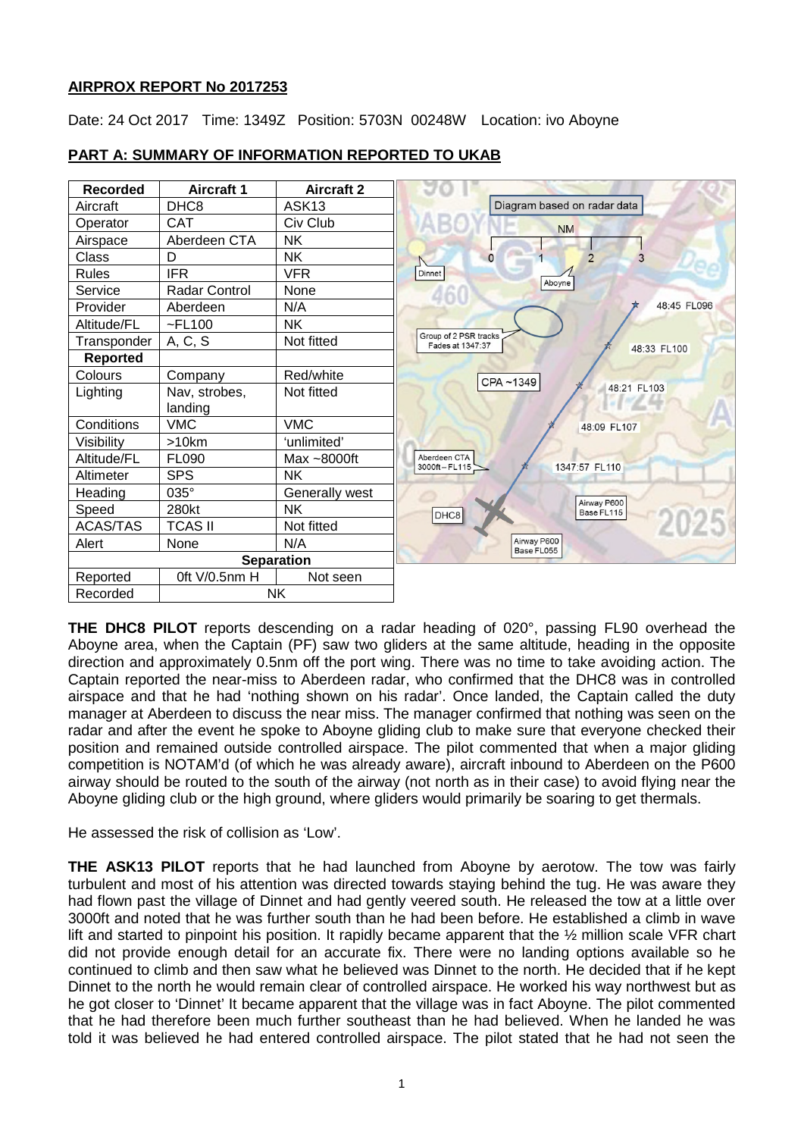# **AIRPROX REPORT No 2017253**

Date: 24 Oct 2017 Time: 1349Z Position: 5703N 00248W Location: ivo Aboyne



# **PART A: SUMMARY OF INFORMATION REPORTED TO UKAB**

**THE DHC8 PILOT** reports descending on a radar heading of 020°, passing FL90 overhead the Aboyne area, when the Captain (PF) saw two gliders at the same altitude, heading in the opposite direction and approximately 0.5nm off the port wing. There was no time to take avoiding action. The Captain reported the near-miss to Aberdeen radar, who confirmed that the DHC8 was in controlled airspace and that he had 'nothing shown on his radar'. Once landed, the Captain called the duty manager at Aberdeen to discuss the near miss. The manager confirmed that nothing was seen on the radar and after the event he spoke to Aboyne gliding club to make sure that everyone checked their position and remained outside controlled airspace. The pilot commented that when a major gliding competition is NOTAM'd (of which he was already aware), aircraft inbound to Aberdeen on the P600 airway should be routed to the south of the airway (not north as in their case) to avoid flying near the Aboyne gliding club or the high ground, where gliders would primarily be soaring to get thermals.

He assessed the risk of collision as 'Low'.

**THE ASK13 PILOT** reports that he had launched from Aboyne by aerotow. The tow was fairly turbulent and most of his attention was directed towards staying behind the tug. He was aware they had flown past the village of Dinnet and had gently veered south. He released the tow at a little over 3000ft and noted that he was further south than he had been before. He established a climb in wave lift and started to pinpoint his position. It rapidly became apparent that the  $\frac{1}{2}$  million scale VFR chart did not provide enough detail for an accurate fix. There were no landing options available so he continued to climb and then saw what he believed was Dinnet to the north. He decided that if he kept Dinnet to the north he would remain clear of controlled airspace. He worked his way northwest but as he got closer to 'Dinnet' It became apparent that the village was in fact Aboyne. The pilot commented that he had therefore been much further southeast than he had believed. When he landed he was told it was believed he had entered controlled airspace. The pilot stated that he had not seen the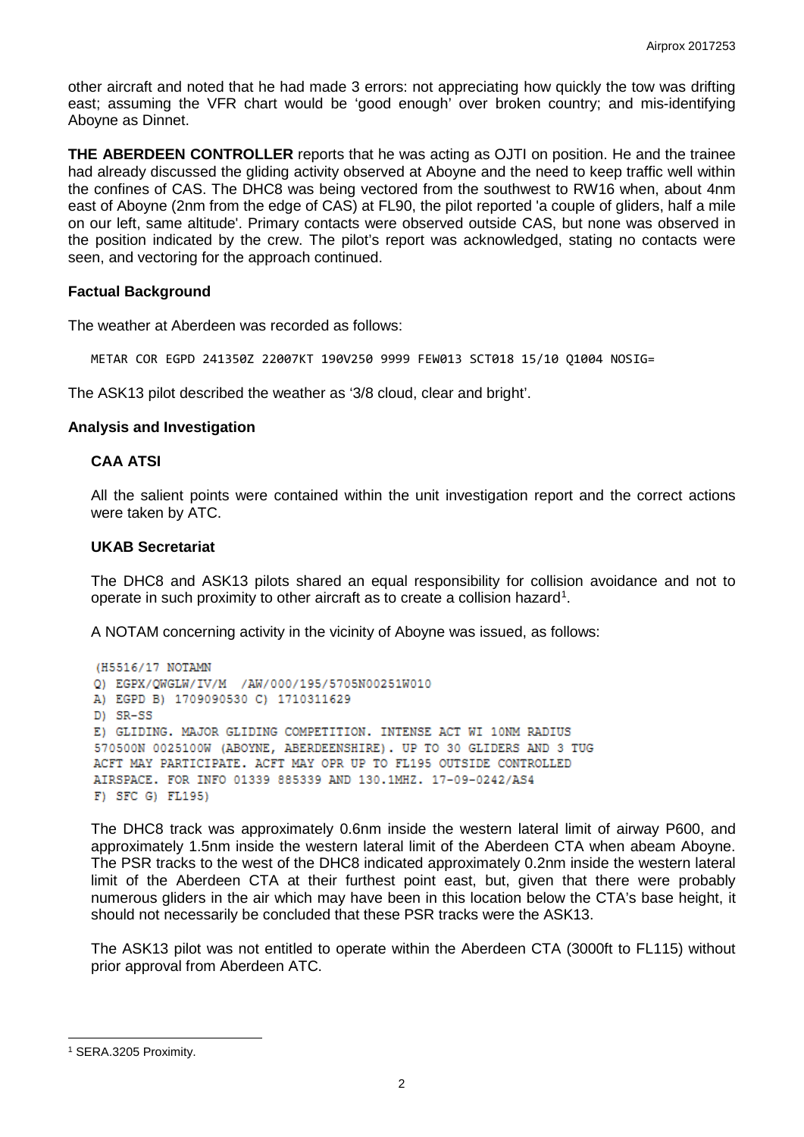other aircraft and noted that he had made 3 errors: not appreciating how quickly the tow was drifting east; assuming the VFR chart would be 'good enough' over broken country; and mis-identifying Aboyne as Dinnet.

**THE ABERDEEN CONTROLLER** reports that he was acting as OJTI on position. He and the trainee had already discussed the gliding activity observed at Aboyne and the need to keep traffic well within the confines of CAS. The DHC8 was being vectored from the southwest to RW16 when, about 4nm east of Aboyne (2nm from the edge of CAS) at FL90, the pilot reported 'a couple of gliders, half a mile on our left, same altitude'. Primary contacts were observed outside CAS, but none was observed in the position indicated by the crew. The pilot's report was acknowledged, stating no contacts were seen, and vectoring for the approach continued.

#### **Factual Background**

The weather at Aberdeen was recorded as follows:

METAR COR EGPD 241350Z 22007KT 190V250 9999 FEW013 SCT018 15/10 Q1004 NOSIG=

The ASK13 pilot described the weather as '3/8 cloud, clear and bright'.

#### **Analysis and Investigation**

#### **CAA ATSI**

All the salient points were contained within the unit investigation report and the correct actions were taken by ATC.

#### **UKAB Secretariat**

The DHC8 and ASK13 pilots shared an equal responsibility for collision avoidance and not to operate in such proximity to other aircraft as to create a collision hazard<sup>[1](#page-1-0)</sup>.

A NOTAM concerning activity in the vicinity of Aboyne was issued, as follows:

```
(H5516/17 NOTAMN
Q) EGPX/QWGLW/IV/M /AW/000/195/5705N00251W010
A) EGPD B) 1709090530 C) 1710311629
D) SR-SS
E) GLIDING. MAJOR GLIDING COMPETITION. INTENSE ACT WI 10NM RADIUS
570500N 0025100W (ABOYNE, ABERDEENSHIRE), UP TO 30 GLIDERS AND 3 TUG
ACFT MAY PARTICIPATE. ACFT MAY OPR UP TO FL195 OUTSIDE CONTROLLED
AIRSPACE. FOR INFO 01339 885339 AND 130.1MHZ. 17-09-0242/AS4
F) SFC G) FL195)
```
The DHC8 track was approximately 0.6nm inside the western lateral limit of airway P600, and approximately 1.5nm inside the western lateral limit of the Aberdeen CTA when abeam Aboyne. The PSR tracks to the west of the DHC8 indicated approximately 0.2nm inside the western lateral limit of the Aberdeen CTA at their furthest point east, but, given that there were probably numerous gliders in the air which may have been in this location below the CTA's base height, it should not necessarily be concluded that these PSR tracks were the ASK13.

The ASK13 pilot was not entitled to operate within the Aberdeen CTA (3000ft to FL115) without prior approval from Aberdeen ATC.

 $\overline{\phantom{a}}$ 

<span id="page-1-0"></span><sup>1</sup> SERA.3205 Proximity.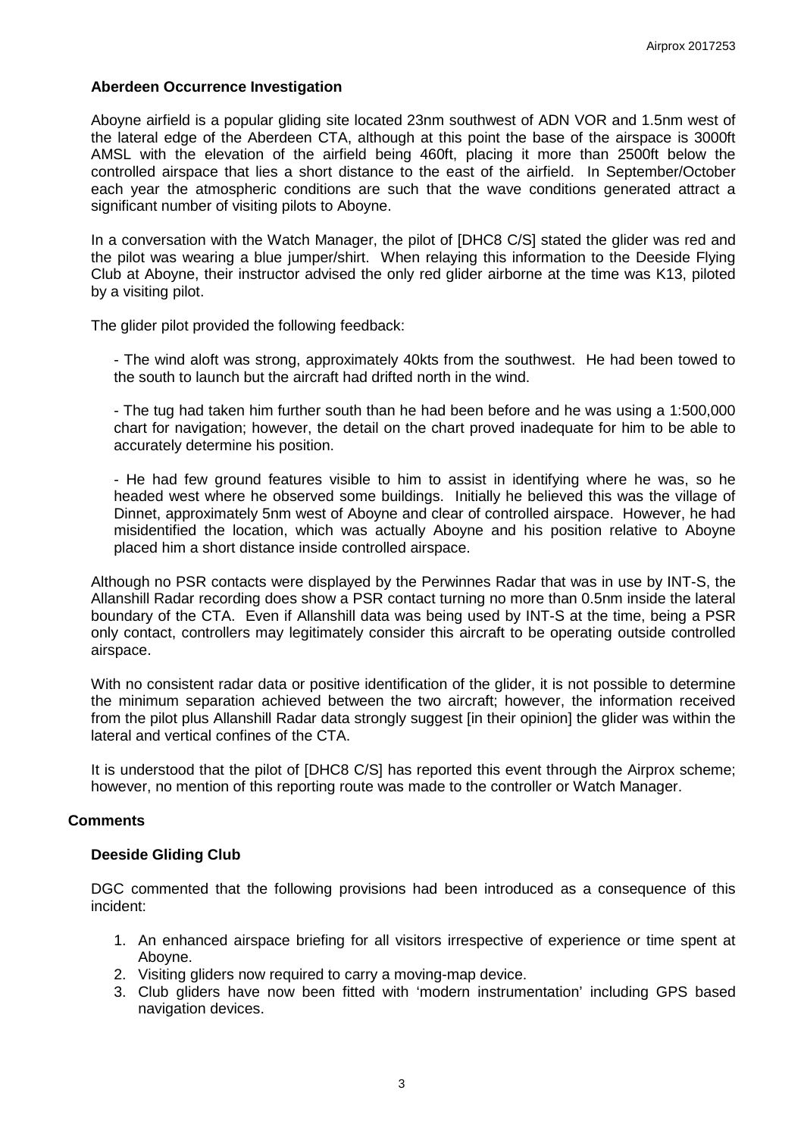## **Aberdeen Occurrence Investigation**

Aboyne airfield is a popular gliding site located 23nm southwest of ADN VOR and 1.5nm west of the lateral edge of the Aberdeen CTA, although at this point the base of the airspace is 3000ft AMSL with the elevation of the airfield being 460ft, placing it more than 2500ft below the controlled airspace that lies a short distance to the east of the airfield. In September/October each year the atmospheric conditions are such that the wave conditions generated attract a significant number of visiting pilots to Aboyne.

In a conversation with the Watch Manager, the pilot of [DHC8 C/S] stated the glider was red and the pilot was wearing a blue jumper/shirt. When relaying this information to the Deeside Flying Club at Aboyne, their instructor advised the only red glider airborne at the time was K13, piloted by a visiting pilot.

The glider pilot provided the following feedback:

- The wind aloft was strong, approximately 40kts from the southwest. He had been towed to the south to launch but the aircraft had drifted north in the wind.

- The tug had taken him further south than he had been before and he was using a 1:500,000 chart for navigation; however, the detail on the chart proved inadequate for him to be able to accurately determine his position.

- He had few ground features visible to him to assist in identifying where he was, so he headed west where he observed some buildings. Initially he believed this was the village of Dinnet, approximately 5nm west of Aboyne and clear of controlled airspace. However, he had misidentified the location, which was actually Aboyne and his position relative to Aboyne placed him a short distance inside controlled airspace.

Although no PSR contacts were displayed by the Perwinnes Radar that was in use by INT-S, the Allanshill Radar recording does show a PSR contact turning no more than 0.5nm inside the lateral boundary of the CTA. Even if Allanshill data was being used by INT-S at the time, being a PSR only contact, controllers may legitimately consider this aircraft to be operating outside controlled airspace.

With no consistent radar data or positive identification of the glider, it is not possible to determine the minimum separation achieved between the two aircraft; however, the information received from the pilot plus Allanshill Radar data strongly suggest [in their opinion] the glider was within the lateral and vertical confines of the CTA.

It is understood that the pilot of [DHC8 C/S] has reported this event through the Airprox scheme; however, no mention of this reporting route was made to the controller or Watch Manager.

## **Comments**

## **Deeside Gliding Club**

DGC commented that the following provisions had been introduced as a consequence of this incident:

- 1. An enhanced airspace briefing for all visitors irrespective of experience or time spent at Aboyne.
- 2. Visiting gliders now required to carry a moving-map device.
- 3. Club gliders have now been fitted with 'modern instrumentation' including GPS based navigation devices.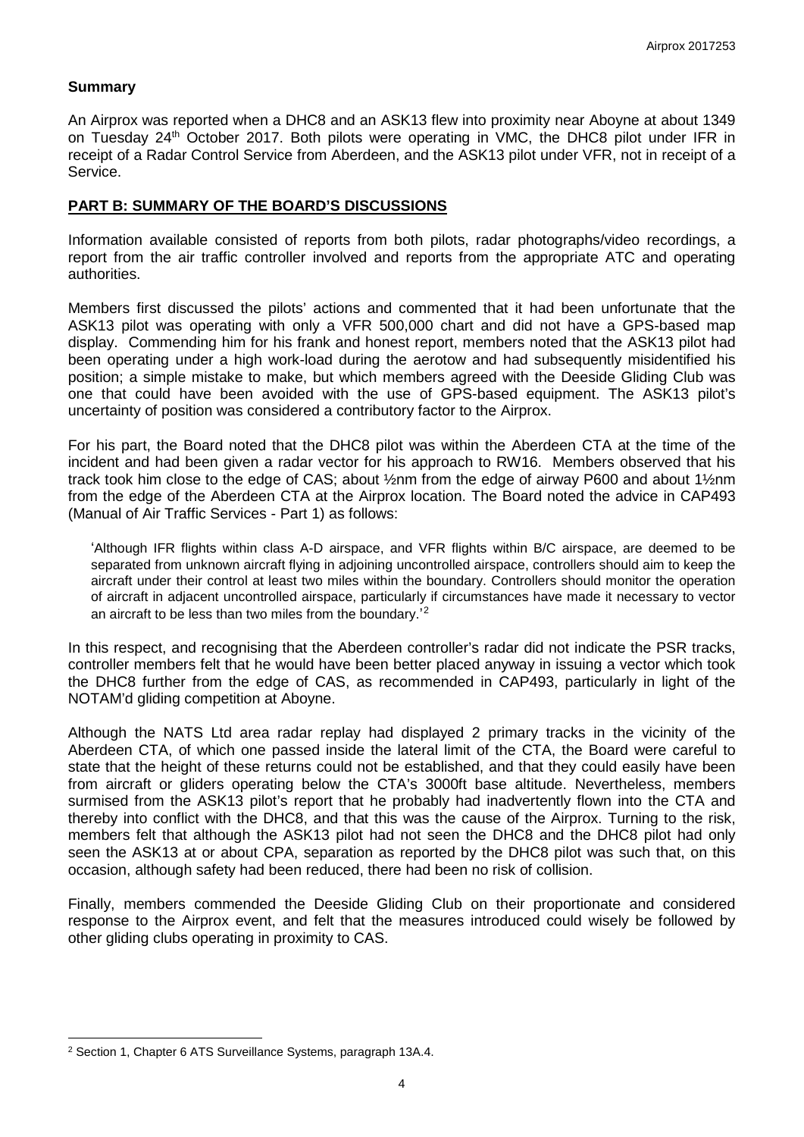# **Summary**

An Airprox was reported when a DHC8 and an ASK13 flew into proximity near Aboyne at about 1349 on Tuesday 24<sup>th</sup> October 2017. Both pilots were operating in VMC, the DHC8 pilot under IFR in receipt of a Radar Control Service from Aberdeen, and the ASK13 pilot under VFR, not in receipt of a Service.

# **PART B: SUMMARY OF THE BOARD'S DISCUSSIONS**

Information available consisted of reports from both pilots, radar photographs/video recordings, a report from the air traffic controller involved and reports from the appropriate ATC and operating authorities.

Members first discussed the pilots' actions and commented that it had been unfortunate that the ASK13 pilot was operating with only a VFR 500,000 chart and did not have a GPS-based map display. Commending him for his frank and honest report, members noted that the ASK13 pilot had been operating under a high work-load during the aerotow and had subsequently misidentified his position; a simple mistake to make, but which members agreed with the Deeside Gliding Club was one that could have been avoided with the use of GPS-based equipment. The ASK13 pilot's uncertainty of position was considered a contributory factor to the Airprox.

For his part, the Board noted that the DHC8 pilot was within the Aberdeen CTA at the time of the incident and had been given a radar vector for his approach to RW16. Members observed that his track took him close to the edge of CAS; about ½nm from the edge of airway P600 and about 1½nm from the edge of the Aberdeen CTA at the Airprox location. The Board noted the advice in CAP493 (Manual of Air Traffic Services - Part 1) as follows:

'Although IFR flights within class A-D airspace, and VFR flights within B/C airspace, are deemed to be separated from unknown aircraft flying in adjoining uncontrolled airspace, controllers should aim to keep the aircraft under their control at least two miles within the boundary. Controllers should monitor the operation of aircraft in adjacent uncontrolled airspace, particularly if circumstances have made it necessary to vector an aircraft to be less than two miles from the boundary.'<sup>[2](#page-3-0)</sup>

In this respect, and recognising that the Aberdeen controller's radar did not indicate the PSR tracks, controller members felt that he would have been better placed anyway in issuing a vector which took the DHC8 further from the edge of CAS, as recommended in CAP493, particularly in light of the NOTAM'd gliding competition at Aboyne.

Although the NATS Ltd area radar replay had displayed 2 primary tracks in the vicinity of the Aberdeen CTA, of which one passed inside the lateral limit of the CTA, the Board were careful to state that the height of these returns could not be established, and that they could easily have been from aircraft or gliders operating below the CTA's 3000ft base altitude. Nevertheless, members surmised from the ASK13 pilot's report that he probably had inadvertently flown into the CTA and thereby into conflict with the DHC8, and that this was the cause of the Airprox. Turning to the risk, members felt that although the ASK13 pilot had not seen the DHC8 and the DHC8 pilot had only seen the ASK13 at or about CPA, separation as reported by the DHC8 pilot was such that, on this occasion, although safety had been reduced, there had been no risk of collision.

Finally, members commended the Deeside Gliding Club on their proportionate and considered response to the Airprox event, and felt that the measures introduced could wisely be followed by other gliding clubs operating in proximity to CAS.

 $\overline{\phantom{a}}$ 

<span id="page-3-0"></span><sup>2</sup> Section 1, Chapter 6 ATS Surveillance Systems, paragraph 13A.4.